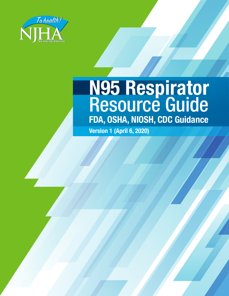

# **N95 Respirator** Resource Guide **FDA, OSHA, NIOSH, CDC Guidance**

**Version 1 (April 6, 2020)**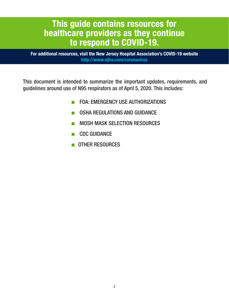# **This guide contains resources for healthcare providers as they continue to respond to COVID-19.**

**For additional resources, visit the New Jersey Hospital Association's COVID-19 website http://www.njha.com/coronavirus**

This document is intended to summarize the important updates, requirements, and guidelines around use of N95 respirators as of April 5, 2020. This includes:

- FDA: EMERGENCY USE AUTHORIZATIONS
- OSHA REGULATIONS AND GUIDANCE
- NIOSH MASK SELECTION RESOURCES
- CDC GUIDANCE
- OTHER RESOURCES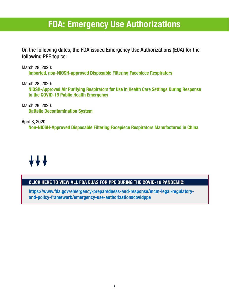# **FDA: Emergency Use Authorizations**

On the following dates, the FDA issued Emergency Use Authorizations (EUA) for the following PPE topics:

March 28, 2020:

**Imported, non-NIOSH-approved Disposable Filtering Facepiece Respirators**

March 28, 2020: **NIOSH-Approved Air Purifying Respirators for Use in Health Care Settings During Response to the COVID-19 Public Health Emergency**

March 29, 2020: **Battelle Decontamination System**

April 3, 2020: **Non-NIOSH-Approved Disposable Filtering Facepiece Respirators Manufactured in China**

# **AAA**

# **CLICK HERE TO VIEW ALL FDA EUAS FOR PPE DURING THE COVID-19 PANDEMIC:**

**https://www.fda.gov/emergency-preparedness-and-response/mcm-legal-regulatoryand-policy-framework/emergency-use-authorization#covidppe**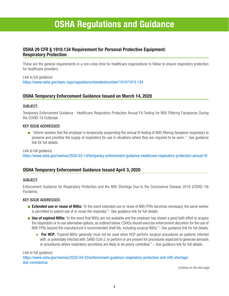# **OSHA Regulations and Guidance**

### **OSHA 29 CFR § 1910.134 Requirement for Personal Protective Equipment: Respiratory Protection**

These are the general requirements in a non-crisis time for healthcare organizations to follow to ensure respiratory protection for healthcare providers.

Link to full guidance: https://www.osha.gov/laws-regs/regulations/standardnumber/1910/1910.134

### **OSHA Temporary Enforcement Guidance Issued on March 14, 2020**

#### SUBJECT:

Temporary Enforcement Guidance - Healthcare Respiratory Protection Annual Fit-Testing for N95 Filtering Facepieces During the COVID-19 Outbreak

#### KEY ISSUE ADDRESSED:

■ "Inform workers that the employer is temporarily suspending the annual fit testing of N95 filtering facepiece respirators to preserve and prioritize the supply of respirators for use in situations where they are required to be worn."- See guidance link for full details.

Link to full guidance:

https://www.osha.gov/memos/2020-03-14/temporary-enforcement-guidance-healthcare-respiratory-protection-annual-fit

### **OSHA Temporary Enforcement Guidance Issued April 3, 2020**

#### SUBJECT:

Enforcement Guidance for Respiratory Protection and the N95 Shortage Due to the Coronavirus Disease 2019 (COVID-19) Pandemic.

#### KEY ISSUE ADDRESSED:

- **Extended use or reuse of N95s:** "In the event extended use or reuse of N95 FFRs becomes necessary, the same worker is permitted to extend use of or reuse the respirator."- See guidance link for full details.
- **Use of expired N95s:** "In the event that N95s are not available and the employer has shown a good faith effort to acquire the respirators or to use alternative options, as outlined below, CSHOs should exercise enforcement discretion for the use of N95 FFRs beyond the manufacturer's recommended shelf life, including surgical N95s."- See guidance link for full details.
	- **For HCP:** "Expired N95s generally must not be used when HCP perform surgical procedures on patients infected with, or potentially infected with, SARS-CoV-2, or perform or are present for procedures expected to generate aerosols or procedures where respiratory secretions are likely to be poorly controlled." – See guidance link for full details.

Link to full guidance: https://www.osha.gov/memos/2020-04-03/enforcement-guidance-respiratory-protection-and-n95-shortagedue-coronavirus

*Continue on the next page*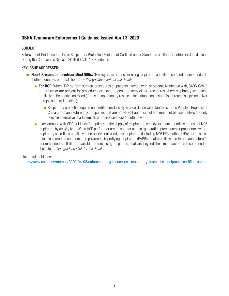## **OSHA Temporary Enforcement Guidance Issued April 3, 2020**

#### SUBJECT:

Enforcement Guidance for Use of Respiratory Protection Equipment Certified under Standards of Other Countries or Jurisdictions During the Coronavirus Disease 2019 (COVID-19) Pandemic

#### KEY ISSUE ADDRESSED:

- **Non-US-manufactured/certified N95s:** "Employers may consider using respirators and filters certified under standards of other countries or jurisdictions." *– See guidance link for full details.*
	- **For HCP:** When HCP perform surgical procedures on patients infected with, or potentially infected with, SARS-CoV-2 or perform or are present for procedures expected to generate aerosols or procedures where respiratory secretions are likely to be poorly controlled (e.g., cardiopulmonary resuscitation, intubation, extubation, bronchoscopy, nebulizer therapy, sputum induction);
		- **o** Respiratory protection equipment certified exclusively in accordance with standards of the People's Republic of China and manufactured by companies that are not NIOSH-approval holders must not be used unless the only feasible alternative is a facemask or improvised nose/mouth cover;
	- In accordance with CDC quidance for optimizing the supply of respirators, employers should prioritize the use of N95 respirators by activity type. When HCP perform or are present for aerosol-generating procedures or procedures where respiratory secretions are likely to be poorly controlled, use respirators (including N95 FFRs; other FFRs; non-disposable, elastomeric respirators; and powered, air-purifying respirators (PAPRs)) that are still within their manufacturer's recommended shelf life, if available, before using respirators that are beyond their manufacturer's recommended shelf life. *– See guidance link for full details.*

#### Link to full guidance:

https://www.osha.gov/memos/2020-04-03/enforcement-guidance-use-respiratory-protection-equipment-certified-under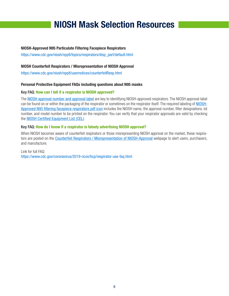# **NIOSH Mask Selection Resources**

#### **NIOSH-Approved N95 Particulate Filtering Facepiece Respirators**

https://www.cdc.gov/niosh/npptl/topics/respirators/disp\_part/default.html

#### **NIOSH Counterfeit Respirators / Misrepresentation of NIOSH Approval**

https://www.cdc.gov/niosh/npptl/usernotices/counterfeitResp.html

#### **Personal Protective Equipment FAQs including questions about N95 masks**

#### Key FAQ: **How can I tell if a respirator is NIOSH approved?**

The [NIOSH approval number and approval label](https://www.cdc.gov/niosh/npptl/topics/respirators/disp_part/respsource1quest2.html) are key to identifying NIOSH-approved respirators. The NIOSH approval label can be found on or within the packaging of the respirator or sometimes on the respirator itself. The required labeling of [NIOSH-](https://www.cdc.gov/niosh/npptl/pdfs/N95-Infographic-Mask-Labeling-508.pdf)[Approved N95 filtering facepiece respirators pdf icon](https://www.cdc.gov/niosh/npptl/pdfs/N95-Infographic-Mask-Labeling-508.pdf) includes the NIOSH name, the approval number, filter designations, lot number, and model number to be printed on the respirator. You can verify that your respirator approvals are valid by checking the [NIOSH Certified Equipment List \(CEL\)](https://www.cdc.gov/niosh/npptl/topics/respirators/cel/default.html).

#### Key FAQ: **How do I know if a respirator is falsely advertising NIOSH approval?**

When NIOSH becomes aware of counterfeit respirators or those misrepresenting NIOSH approval on the market, these respirators are posted on the [Counterfeit Respirators / Misrepresentation of NIOSH-Approval](https://www.cdc.gov/niosh/npptl/usernotices/counterfeitResp.html) webpage to alert users, purchasers, and manufacture.

#### Link for full FAQ: https://www.cdc.gov/coronavirus/2019-ncov/hcp/respirator-use-faq.html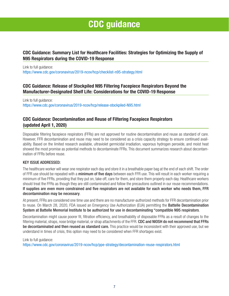# **CDC guidance**

## **CDC Guidance: Summary List for Healthcare Facilities: Strategies for Optimizing the Supply of N95 Respirators during the COVID-19 Response**

Link to full guidance: https://www.cdc.gov/coronavirus/2019-ncov/hcp/checklist-n95-strategy.html

## **CDC Guidance: Release of Stockpiled N95 Filtering Facepiece Respirators Beyond the Manufacturer-Designated Shelf Life: Considerations for the COVID-19 Response**

Link to full guidance: https://www.cdc.gov/coronavirus/2019-ncov/hcp/release-stockpiled-N95.html

## **CDC Guidance: Decontamination and Reuse of Filtering Facepiece Respirators (updated April 1, 2020)**

Disposable filtering facepiece respirators (FFRs) are not approved for routine decontamination and reuse as standard of care. However, FFR decontamination and reuse may need to be considered as a crisis capacity strategy to ensure continued availability. Based on the limited research available, ultraviolet germicidal irradiation, vaporous hydrogen peroxide, and moist heat showed the most promise as potential methods to decontaminate FFRs. This document summarizes research about decontamination of FFRs before reuse.

#### KEY ISSUE ADDRESSED:

The healthcare worker will wear one respirator each day and store it in a breathable paper bag at the end of each shift. The order of FFR use should be repeated with a minimum of five days between each FFR use. This will result in each worker requiring a minimum of five FFRs, providing that they put on, take off, care for them, and store them properly each day. Healthcare workers should treat the FFRs as though they are still contaminated and follow the precautions outlined in our reuse recommendations. If supplies are even more constrained and five respirators are not available for each worker who needs them, FFR decontamination may be necessary.

At present, FFRs are considered one time use and there are no manufacturer-authorized methods for FFR decontamination prior to reuse. On March 28, 2020, FDA issued an Emergency Use Authorization (EUA) permitting the **Battelle Decontamination** System at Battelle Memorial Institute to be authorized for use in decontaminating "compatible N95 respirators.

Decontamination might cause poorer fit, filtration efficiency, and breathability of disposable FFRs as a result of changes to the filtering material, straps, nose bridge material, or strap attachments of the FFR. CDC and NIOSH do not recommend that FFRs be decontaminated and then reused as standard care. This practice would be inconsistent with their approved use, but we understand in times of crisis, this option may need to be considered when FFR shortages exist.

#### Link to full guidance:

https://www.cdc.gov/coronavirus/2019-ncov/hcp/ppe-strategy/decontamination-reuse-respirators.html